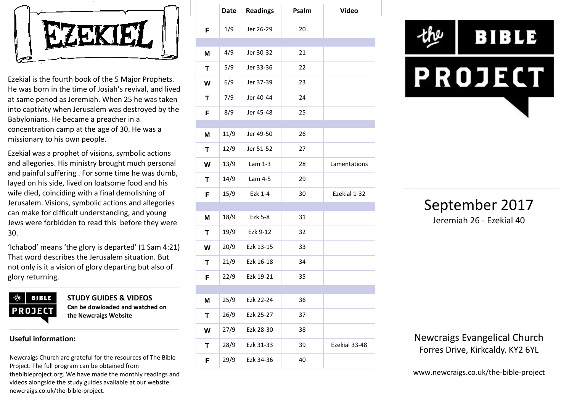

Ezekial is the fourth book of the 5 Major Prophets. He was born in the time of Josiah's revival, and lived at same period as Jeremiah. When 25 he was taken into captivity when Jerusalem was destroyed by the Babylonians. He became a preacher in a concentration camp at the age of 30. He was a missionary to his own people.

Ezekial was a prophet of visions, symbolic actions and allegories. His ministry brought much personal and painful suffering . For some time he was dumb, layed on his side, lived on loatsome food and his wife died, coinciding with a final demolishing of Jerusalem. Visions, symbolic actions and allegories can make for difficult understanding, and young Jews were forbidden to read this before they were 30.

'Ichabod' means 'the glory is departed' (1 Sam 4:21) That word describes the Jerusalem situation. But not only is it a vision of glory departing but also of glory returning.



**STUDY GUIDES & VIDEOS Can be dowloaded and watched on the Newcraigs Website**

## **Useful information:**

Newcraigs Church are grateful for the resources of The Bible Project. The full program can be obtained from thebibleproject.org. We have made the monthly readings and videos alongside the study guides available at our website newcraigs.co.uk/the-bible-project.

|   | <b>Date</b> | <b>Readings</b> | Psalm | <b>Video</b>  |
|---|-------------|-----------------|-------|---------------|
| F | 1/9         | Jer 26-29       | 20    |               |
|   |             |                 |       |               |
| M | 4/9         | Jer 30-32       | 21    |               |
| T | 5/9         | Jer 33-36       | 22    |               |
| W | 6/9         | Jer 37-39       | 23    |               |
| Т | 7/9         | Jer 40-44       | 24    |               |
| F | 8/9         | Jer 45-48       | 25    |               |
| M | 11/9        | Jer 49-50       | 26    |               |
| Т | 12/9        | Jer 51-52       | 27    |               |
| W | 13/9        | Lam 1-3         | 28    | Lamentations  |
| т | 14/9        | Lam 4-5         | 29    |               |
| F | 15/9        | Ezk 1-4         | 30    | Ezekial 1-32  |
|   |             |                 |       |               |
| M | 18/9        | Ezk 5-8         | 31    |               |
| Т | 19/9        | Ezk 9-12        | 32    |               |
| W | 20/9        | Ezk 13-15       | 33    |               |
| Т | 21/9        | Ezk 16-18       | 34    |               |
| F | 22/9        | Ezk 19-21       | 35    |               |
|   |             |                 |       |               |
| M | 25/9        | Ezk 22-24       | 36    |               |
| Τ | 26/9        | Ezk 25-27       | 37    |               |
| W | 27/9        | Ezk 28-30       | 38    |               |
| T | 28/9        | Ezk 31-33       | 39    | Ezekial 33-48 |
| F | 29/9        | Ezk 34-36       | 40    |               |





Newcraigs Evangelical Church Forres Drive, Kirkcaldy. KY2 6YL

www.newcraigs.co.uk/the-bible-project